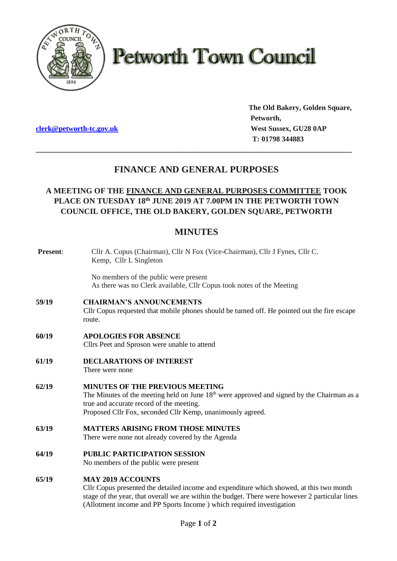

# **Petworth Town Council**

**clerk@petworth-tc.gov.uk** *West Sussex, GU28 0AP* 

**The Old Bakery, Golden Square, Petworth, T: 01798 344883**

## **FINANCE AND GENERAL PURPOSES**

**\_\_\_\_\_\_\_\_\_\_\_\_\_\_\_\_\_\_\_\_\_\_\_\_\_\_\_\_\_\_\_\_\_\_\_\_\_\_\_\_\_\_\_\_\_\_\_\_\_\_\_\_\_\_\_\_\_\_\_\_\_\_\_\_\_\_\_\_\_\_\_\_\_\_\_\_\_\_\_**

### **A MEETING OF THE FINANCE AND GENERAL PURPOSES COMMITTEE TOOK PLACE ON TUESDAY 18th JUNE 2019 AT 7.00PM IN THE PETWORTH TOWN COUNCIL OFFICE, THE OLD BAKERY, GOLDEN SQUARE, PETWORTH**

## **MINUTES**

| Present: | Cllr A. Copus (Chairman), Cllr N Fox (Vice-Chairman), Cllr J Fynes, Cllr C.<br>Kemp, Cllr L Singleton                                                                                                                                                                                           |
|----------|-------------------------------------------------------------------------------------------------------------------------------------------------------------------------------------------------------------------------------------------------------------------------------------------------|
|          | No members of the public were present<br>As there was no Clerk available, Cllr Copus took notes of the Meeting                                                                                                                                                                                  |
| 59/19    | <b>CHAIRMAN'S ANNOUNCEMENTS</b><br>Cllr Copus requested that mobile phones should be turned off. He pointed out the fire escape<br>route.                                                                                                                                                       |
| 60/19    | <b>APOLOGIES FOR ABSENCE</b><br>Cllrs Peet and Sproson were unable to attend                                                                                                                                                                                                                    |
| 61/19    | <b>DECLARATIONS OF INTEREST</b><br>There were none                                                                                                                                                                                                                                              |
| 62/19    | <b>MINUTES OF THE PREVIOUS MEETING</b><br>The Minutes of the meeting held on June 18 <sup>th</sup> were approved and signed by the Chairman as a<br>true and accurate record of the meeting.<br>Proposed Cllr Fox, seconded Cllr Kemp, unanimously agreed.                                      |
| 63/19    | <b>MATTERS ARISING FROM THOSE MINUTES</b><br>There were none not already covered by the Agenda                                                                                                                                                                                                  |
| 64/19    | <b>PUBLIC PARTICIPATION SESSION</b><br>No members of the public were present                                                                                                                                                                                                                    |
| 65/19    | <b>MAY 2019 ACCOUNTS</b><br>Cllr Copus presented the detailed income and expenditure which showed, at this two month<br>stage of the year, that overall we are within the budget. There were however 2 particular lines<br>(Allotment income and PP Sports Income) which required investigation |